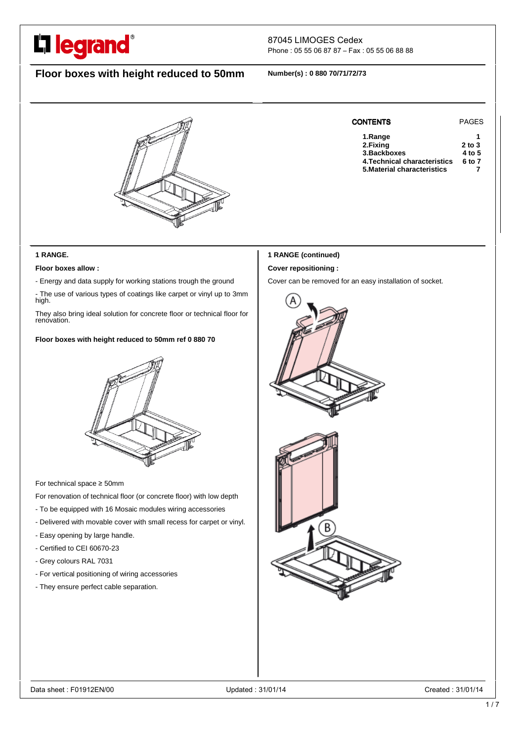# L'I legrand®

## 87045 LIMOGES Cedex

Phone : 05 55 06 87 87 – Fax : 05 55 06 88 88

### **Floor boxes with height reduced to 50mm Number(s) : 0 880 70/71/72/73**



# CONTENTS PAGES

| 1.Range                     |            |
|-----------------------------|------------|
| 2.Fixina                    | $2$ to $3$ |
| 3.Backboxes                 | 4 to 5     |
| 4.Technical characteristics | 6 to 7     |
| 5.Material characteristics  |            |

### **1 RANGE.**

### **Floor boxes allow :**

- Energy and data supply for working stations trough the ground

- The use of various types of coatings like carpet or vinyl up to 3mm high.

They also bring ideal solution for concrete floor or technical floor for renovation.

### **Floor boxes with height reduced to 50mm ref 0 880 70**



For technical space ≥ 50mm

For renovation of technical floor (or concrete floor) with low depth

- To be equipped with 16 Mosaic modules wiring accessories
- Delivered with movable cover with small recess for carpet or vinyl.
- Easy opening by large handle.
- Certified to CEI 60670-23
- Grey colours RAL 7031
- For vertical positioning of wiring accessories
- They ensure perfect cable separation.

# Cover can be removed for an easy installation of socket.

**1 RANGE (continued) Cover repositioning :** 

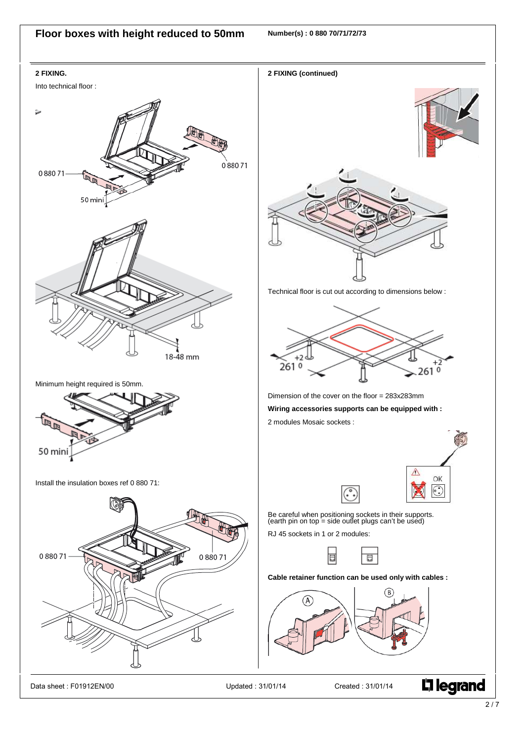### **Floor boxes with height reduced to 50mm Number(s) : 0 880 70/71/72/73**



Data sheet : F01912EN/00 Updated : 31/01/14 Created : 31/01/14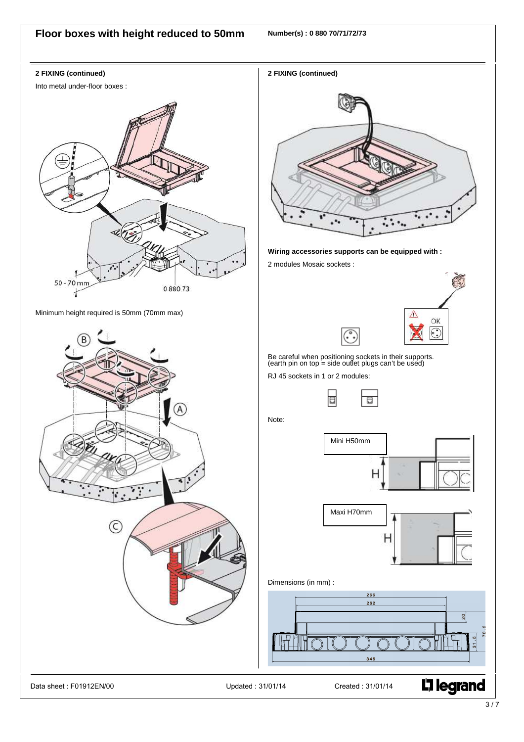### **Floor boxes with height reduced to 50mm Number(s) : 0 880 70/71/72/73**



Into metal under-floor boxes :



Minimum height required is 50mm (70mm max)



**2 FIXING (continued)** 

### **Wiring accessories supports can be equipped with :**

2 modules Mosaic sockets :

⚠ OK  $\odot$ 

Be careful when positioning sockets in their supports. (earth pin on top = side outlet plugs can't be used)

RJ 45 sockets in 1 or 2 modules:



Data sheet : F01912EN/00 Updated : 31/01/14 Created : 31/01/14

346

L'i legrand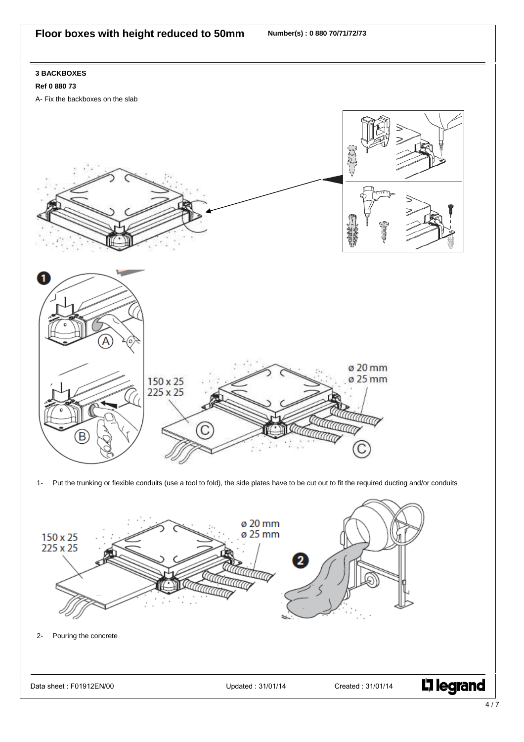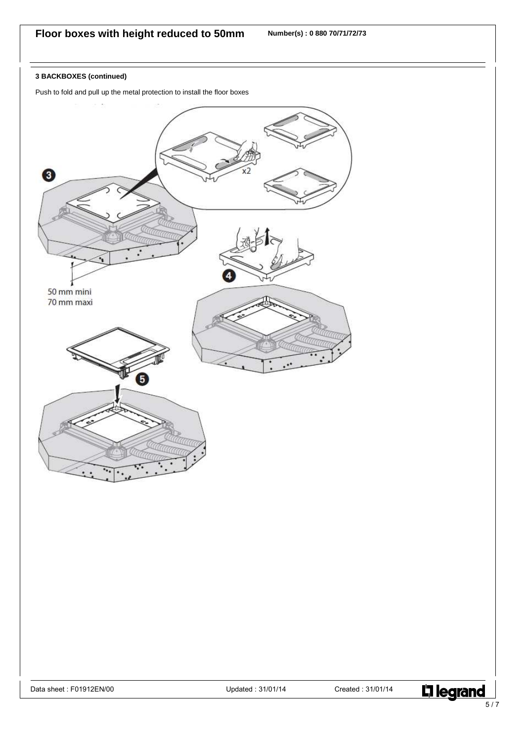### **3 BACKBOXES (continued)**

Push to fold and pull up the metal protection to install the floor boxes



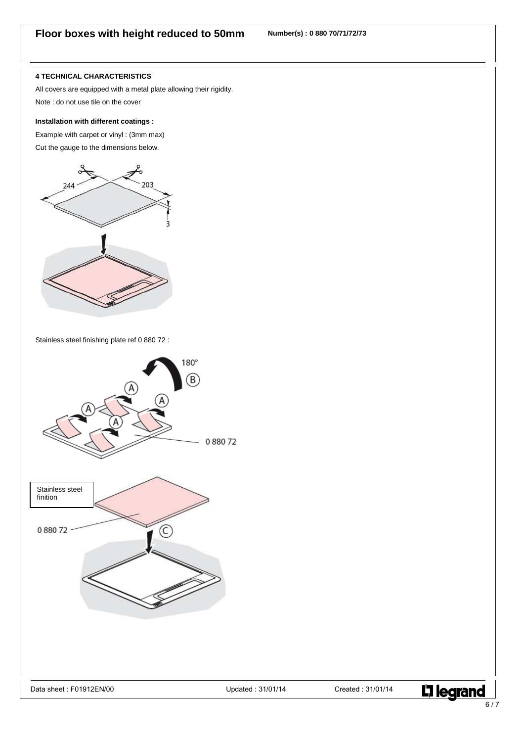### **4 TECHNICAL CHARACTERISTICS**

All covers are equipped with a metal plate allowing their rigidity. Note : do not use tile on the cover

### **Installation with different coatings :**

Example with carpet or vinyl : (3mm max)



Stainless steel finishing plate ref 0 880 72 :



![](_page_5_Picture_10.jpeg)